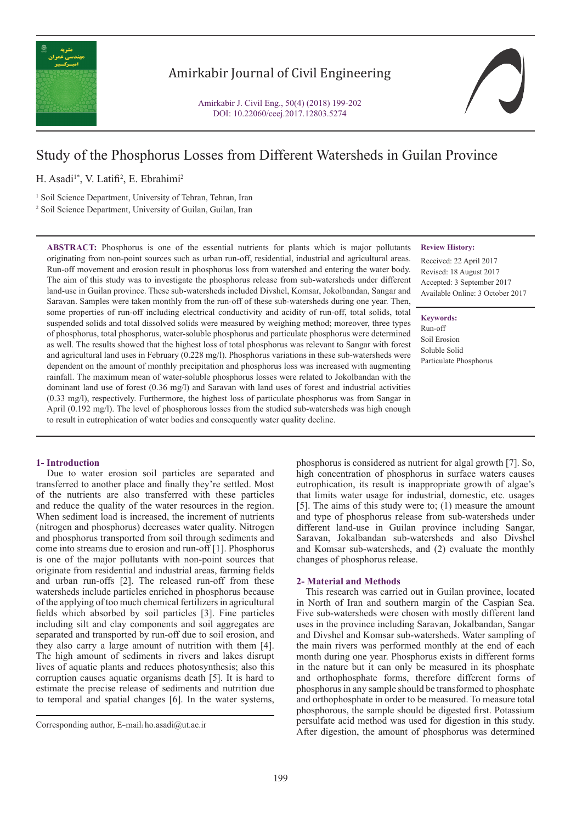

## Amirkabir Journal of Civil Engineering

Amirkabir J. Civil Eng., 50(4) (2018) 199-202 DOI: 10.22060/ceej.2017.12803.5274



# Study of the Phosphorus Losses from Different Watersheds in Guilan Province

H. Asadi<sup>1\*</sup>, V. Latifi<sup>2</sup>, E. Ebrahimi<sup>2</sup>

<sup>1</sup> Soil Science Department, University of Tehran, Tehran, Iran 2 Soil Science Department, University of Guilan, Guilan, Iran

**ABSTRACT:** Phosphorus is one of the essential nutrients for plants which is major pollutants originating from non-point sources such as urban run-off, residential, industrial and agricultural areas. Run-off movement and erosion result in phosphorus loss from watershed and entering the water body. The aim of this study was to investigate the phosphorus release from sub-watersheds under different land-use in Guilan province. These sub-watersheds included Divshel, Komsar, Jokolbandan, Sangar and Saravan. Samples were taken monthly from the run-off of these sub-watersheds during one year. Then, some properties of run-off including electrical conductivity and acidity of run-off, total solids, total suspended solids and total dissolved solids were measured by weighing method; moreover, three types of phosphorus, total phosphorus, water-soluble phosphorus and particulate phosphorus were determined as well. The results showed that the highest loss of total phosphorus was relevant to Sangar with forest and agricultural land uses in February (0.228 mg/l). Phosphorus variations in these sub-watersheds were dependent on the amount of monthly precipitation and phosphorus loss was increased with augmenting rainfall. The maximum mean of water-soluble phosphorus losses were related to Jokolbandan with the dominant land use of forest (0.36 mg/l) and Saravan with land uses of forest and industrial activities (0.33 mg/l), respectively. Furthermore, the highest loss of particulate phosphorus was from Sangar in April (0.192 mg/l). The level of phosphorous losses from the studied sub-watersheds was high enough to result in eutrophication of water bodies and consequently water quality decline.

### **1- Introduction**

 Due to water erosion soil particles are separated and transferred to another place and finally they're settled. Most of the nutrients are also transferred with these particles and reduce the quality of the water resources in the region. When sediment load is increased, the increment of nutrients (nitrogen and phosphorus) decreases water quality. Nitrogen and phosphorus transported from soil through sediments and come into streams due to erosion and run-off [1]. Phosphorus is one of the major pollutants with non-point sources that originate from residential and industrial areas, farming fields and urban run-offs [2]. The released run-off from these watersheds include particles enriched in phosphorus because of the applying of too much chemical fertilizers in agricultural fields which absorbed by soil particles [3]. Fine particles including silt and clay components and soil aggregates are separated and transported by run-off due to soil erosion, and they also carry a large amount of nutrition with them [4]. The high amount of sediments in rivers and lakes disrupt lives of aquatic plants and reduces photosynthesis; also this corruption causes aquatic organisms death [5]. It is hard to estimate the precise release of sediments and nutrition due to temporal and spatial changes [6]. In the water systems,

**Review History:**

Received: 22 April 2017 Revised: 18 August 2017 Accepted: 3 September 2017 Available Online: 3 October 2017

**Keywords:**

Run-off Soil Erosion Soluble Solid Particulate Phosphorus

phosphorus is considered as nutrient for algal growth [7]. So, high concentration of phosphorus in surface waters causes eutrophication, its result is inappropriate growth of algae's that limits water usage for industrial, domestic, etc. usages [5]. The aims of this study were to; (1) measure the amount and type of phosphorus release from sub-watersheds under different land-use in Guilan province including Sangar, Saravan, Jokalbandan sub-watersheds and also Divshel and Komsar sub-watersheds, and (2) evaluate the monthly changes of phosphorus release.

#### **2- Material and Methods**

 This research was carried out in Guilan province, located in North of Iran and southern margin of the Caspian Sea. Five sub-watersheds were chosen with mostly different land uses in the province including Saravan, Jokalbandan, Sangar and Divshel and Komsar sub-watersheds. Water sampling of the main rivers was performed monthly at the end of each month during one year. Phosphorus exists in different forms in the nature but it can only be measured in its phosphate and orthophosphate forms, therefore different forms of phosphorus in any sample should be transformed to phosphate and orthophosphate in order to be measured. To measure total phosphorous, the sample should be digested first. Potassium persulfate acid method was used for digestion in this study. Corresponding author, E-mail: ho.asadi@ut.ac.ir<br>After digestion, the amount of phosphorus was determined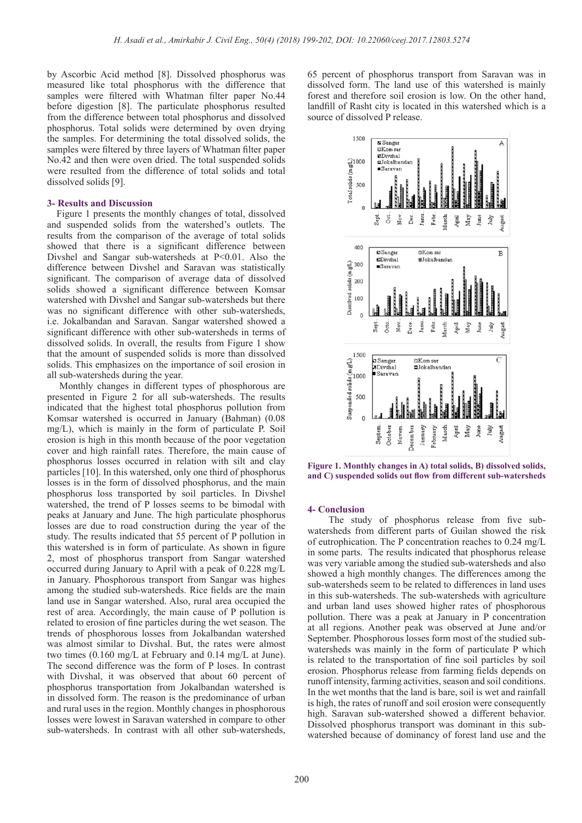by Ascorbic Acid method [8]. Dissolved phosphorus was measured like total phosphorus with the difference that samples were filtered with Whatman filter paper No.44 before digestion [8]. The particulate phosphorus resulted from the difference between total phosphorus and dissolved phosphorus. Total solids were determined by oven drying the samples. For determining the total dissolved solids, the samples were filtered by three layers of Whatman filter paper No.42 and then were oven dried. The total suspended solids were resulted from the difference of total solids and total dissolved solids [9].

#### **3- Results and Discussion**

 Figure 1 presents the monthly changes of total, dissolved and suspended solids from the watershed's outlets. The results from the comparison of the average of total solids showed that there is a significant difference between Divshel and Sangar sub-watersheds at P<0.01. Also the difference between Divshel and Saravan was statistically significant. The comparison of average data of dissolved solids showed a significant difference between Komsar watershed with Divshel and Sangar sub-watersheds but there was no significant difference with other sub-watersheds, i.e. Jokalbandan and Saravan. Sangar watershed showed a significant difference with other sub-watersheds in terms of dissolved solids. In overall, the results from Figure 1 show that the amount of suspended solids is more than dissolved solids. This emphasizes on the importance of soil erosion in all sub-watersheds during the year.

 Monthly changes in different types of phosphorous are presented in Figure 2 for all sub-watersheds. The results indicated that the highest total phosphorus pollution from Komsar watershed is occurred in January (Bahman) (0.08 mg/L), which is mainly in the form of particulate P. Soil erosion is high in this month because of the poor vegetation cover and high rainfall rates. Therefore, the main cause of phosphorus losses occurred in relation with silt and clay particles [10]. In this watershed, only one third of phosphorus losses is in the form of dissolved phosphorus, and the main phosphorus loss transported by soil particles. In Divshel watershed, the trend of P losses seems to be bimodal with peaks at January and June. The high particulate phosphorus losses are due to road construction during the year of the study. The results indicated that 55 percent of P pollution in this watershed is in form of particulate. As shown in figure 2, most of phosphorus transport from Sangar watershed occurred during January to April with a peak of 0.228 mg/L in January. Phosphorous transport from Sangar was highes among the studied sub-watersheds. Rice fields are the main land use in Sangar watershed. Also, rural area occupied the rest of area. Accordingly, the main cause of P pollution is related to erosion of fine particles during the wet season. The trends of phosphorous losses from Jokalbandan watershed was almost similar to Divshal. But, the rates were almost two times (0.160 mg/L at February and 0.14 mg/L at June). The second difference was the form of P loses. In contrast with Divshal, it was observed that about 60 percent of phosphorus transportation from Jokalbandan watershed is in dissolved form. The reason is the predominance of urban and rural uses in the region. Monthly changes in phosphorous losses were lowest in Saravan watershed in compare to other sub-watersheds. In contrast with all other sub-watersheds,

65 percent of phosphorus transport from Saravan was in dissolved form. The land use of this watershed is mainly forest and therefore soil erosion is low. On the other hand, landfill of Rasht city is located in this watershed which is a source of dissolved P release.



**Figure 1. Monthly changes in A) total solids, B) dissolved solids, and C) suspended solids out flow from different sub-watersheds**

#### **4- Conclusion**

 The study of phosphorus release from five subwatersheds from different parts of Guilan showed the risk of eutrophication. The P concentration reaches to 0.24 mg/L in some parts. The results indicated that phosphorus release was very variable among the studied sub-watersheds and also showed a high monthly changes. The differences among the sub-watersheds seem to be related to differences in land uses in this sub-watersheds. The sub-watersheds with agriculture and urban land uses showed higher rates of phosphorous pollution. There was a peak at January in P concentration at all regions. Another peak was observed at June and/or September. Phosphorous losses form most of the studied subwatersheds was mainly in the form of particulate P which is related to the transportation of fine soil particles by soil erosion. Phosphorus release from farming fields depends on runoff intensity, farming activities, season and soil conditions. In the wet months that the land is bare, soil is wet and rainfall is high, the rates of runoff and soil erosion were consequently high. Saravan sub-watershed showed a different behavior. Dissolved phosphorus transport was dominant in this subwatershed because of dominancy of forest land use and the